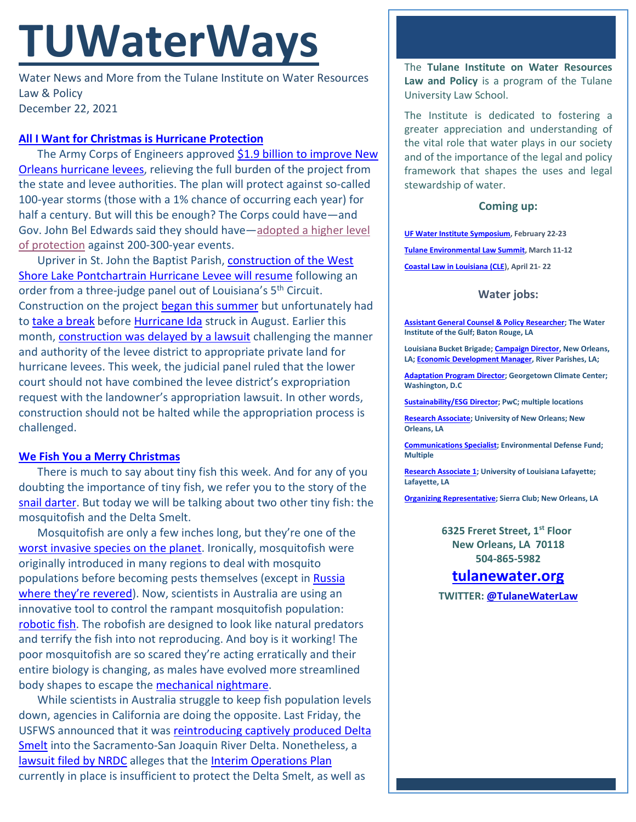# **TUWaterWays**

Water News and More from the Tulane Institute on Water Resources Law & Policy December 22, 2021

## **[All I Want for Christmas is Hurricane Protection](https://www.youtube.com/watch?v=sOoppeRQkac)**

The Army Corps of Engineers approve[d \\$1.9 billion to improve](https://www.nola.com/news/environment/article_87729bbe-6279-11ec-8825-e37469356c58.html) New Orleans [hurricane levees,](https://www.nola.com/news/environment/article_87729bbe-6279-11ec-8825-e37469356c58.html) relieving the full burden of the project from the state and levee authorities. The plan will protect against so-called 100-year storms (those with a 1% chance of occurring each year) for half a century. But will this be enough? The Corps could have—and Gov. John Bel Edwards said they should have[—adopted a higher level](https://a21005ea-f0f0-4cff-a527-7c658373c740.filesusr.com/ugd/32079b_1c6e0afa84d246d0a5329085a994718d.pdf)  [of protection](https://a21005ea-f0f0-4cff-a527-7c658373c740.filesusr.com/ugd/32079b_1c6e0afa84d246d0a5329085a994718d.pdf) against 200-300-year events.

Upriver in St. John the Baptist Parish, construction of the West [Shore Lake Pontchartrain Hurricane Levee will resume](https://www.usnews.com/news/best-states/louisiana/articles/2021-12-21/louisiana-levee-to-continue-after-court-orders-land-seizure) following an order from a three-judge panel out of Louisiana's 5<sup>th</sup> Circuit. Construction on the project [began this summer](https://lailluminator.com/briefs/construction-begins-on-west-shore-lake-pontchartrain-hurricane-protection/) but unfortunately had to [take a break](https://www.youtube.com/watch?v=iAH0KRmU2JU) before [Hurricane Ida](https://lailluminator.com/2021/08/31/hurricane-ida-was-catastrophic-in-st-john-parish-gov-edwards-says/) struck in August. Earlier this month, [construction was delayed by a lawsuit](https://apnews.com/article/technology-business-louisiana-new-orleans-storms-172d025a883fd34781653e74d24cca9f) challenging the manner and authority of the levee district to appropriate private land for hurricane levees. This week, the judicial panel ruled that the lower court should not have combined the levee district's expropriation request with the landowner's appropriation lawsuit. In other words, construction should not be halted while the appropriation process is challenged.

## **[We Fish You a Merry Christmas](https://www.youtube.com/watch?v=LZBcGNv9MLc)**

There is much to say about tiny fish this week. And for any of you doubting the importance of tiny fish, we refer you to the story of the [snail darter.](https://soapboxie.com/social-issues/The-Story-Of-The-Snail-Darter) But today we will be talking about two other tiny fish: the mosquitofish and the Delta Smelt.

Mosquitofish are only a few inches long, but they're one of the [worst invasive species on the planet.](http://www.iucngisd.org/gisd/100_worst.php) Ironically, mosquitofish were originally introduced in many regions to deal with mosquito populations before becoming pests themselves (except in Russia [where they're revered\)](https://www.tripadvisor.com/Attraction_Review-g298536-d8380336-Reviews-Monument_to_Mosquito_Fish-Sochi_Greater_Sochi_Krasnodar_Krai_Southern_District.html). Now, scientists in Australia are using an innovative tool to control the rampant mosquitofish population: [robotic fish.](https://www.smithsonianmag.com/smart-news/scientists-terrify-invasive-mosquitofish-with-their-worst-nightmare-a-robotic-fish-180979258/) The robofish are designed to look like natural predators and terrify the fish into not reproducing. And boy is it working! The poor mosquitofish are so scared they're acting erratically and their entire biology is changing, as males have evolved more streamlined body shapes to escape the [mechanical nightmare.](https://www.youtube.com/watch?v=JmlXRA9VGJ4)

While scientists in Australia struggle to keep fish population levels down, agencies in California are doing the opposite. Last Friday, the USFWS announced that it was [reintroducing captively produced Delta](https://www.fws.gov/news/ShowNews.cfm?ref=delta-smelt-released-into-wild-for-first-time&_ID=37069)  [Smelt](https://www.fws.gov/news/ShowNews.cfm?ref=delta-smelt-released-into-wild-for-first-time&_ID=37069) into the Sacramento-San Joaquin River Delta. Nonetheless, a [lawsuit filed by NRDC](https://www.nrdc.org/experts/doug-obegi/no-time-half-measures-prevent-extinction-delta) alleges that the [Interim Operations Plan](https://media0.giphy.com/media/AyYhhYzYWSUEViVmeI/giphy.gif?cid=790b76111daf7c96b209c638d5e0eaf31fc6c37331e2ced7&rid=giphy.gif&ct=g) currently in place is insufficient to protect the Delta Smelt, as well as

The **Tulane Institute on Water Resources Law and Policy** is a program of the Tulane University Law School.

The Institute is dedicated to fostering a greater appreciation and understanding of the vital role that water plays in our society and of the importance of the legal and policy framework that shapes the uses and legal stewardship of water.

#### **Coming up:**

**[UF Water Institute Symposium,](https://conference.ifas.ufl.edu/waterinstitute/) February 22-23 [Tulane Environmental Law Summit,](https://tulaneenvironmentallawsummit.com/) March 11-12 [Coastal Law in Louisiana \(CLE\)](https://www.theseminargroup.net/seminardetl.aspx?id=22.shrNO), April 21- 22**

## **Water jobs:**

**[Assistant General Counsel & Policy Researcher;](https://workforcenow.adp.com/mascsr/default/mdf/recruitment/recruitment.html?cid=cfe9eb33-0f69-467c-bb2a-1bd0ea7c0cf1&ccId=19000101_000001&jobId=410130&lang=en_US&source=CC4) The Water Institute of the Gulf; Baton Rouge, LA** 

**Louisiana Bucket Brigade[; Campaign Director,](https://labucketbrigade.org/now-hiring-campaign-director/) New Orleans, LA[; Economic Development Manager,](https://labucketbrigade.org/now-hiring-economic-development-manager/) River Parishes, LA;** 

**[Adaptation Program Director;](https://georgetown.wd1.myworkdayjobs.com/en-US/Georgetown_Admin_Careers/job/Law-Center/Adaptation-Program-Director--Georgetown-Climate-Center---Georgetown-University-Law-Center_JR10781) Georgetown Climate Center; Washington, D.C**

**[Sustainability/ESG Director;](https://jobs.us.pwc.com/job/-/-/932/8531402784?utm_source=linkedin.com&utm_campaign=core_media&utm_medium=social_media&utm_content=job_posting&ss=paid&dclid=CIHN-by5yvMCFUvrwAodK4kFqw) PwC; multiple locations**

**[Research Associate;](https://ulsuno.wd1.myworkdayjobs.com/en-US/UniversityOfNewOrleans/job/New-Orleans-La/Research-Associate-1_R-000365) University of New Orleans; New Orleans, LA**

**[Communications Specialist;](https://www.edf.org/jobs/communications-specialist-coastal-resilience) Environmental Defense Fund; Multiple**

**[Research Associate 1;](https://louisiana.csod.com/ux/ats/careersite/1/home/requisition/1576?c=louisiana) University of Louisiana Lafayette; Lafayette, LA**

**[Organizing Representative;](https://phf.tbe.taleo.net/phf01/ats/careers/v2/viewRequisition?org=SIERRACLUB&cws=39&rid=1816) Sierra Club; New Orleans, LA**

**6325 Freret Street, 1st Floor New Orleans, LA 70118 504-865-5982**

## **tulanewater.org**

**TWITTER: [@TulaneWaterLaw](http://www.twitter.com/TulaneWaterLaw)**